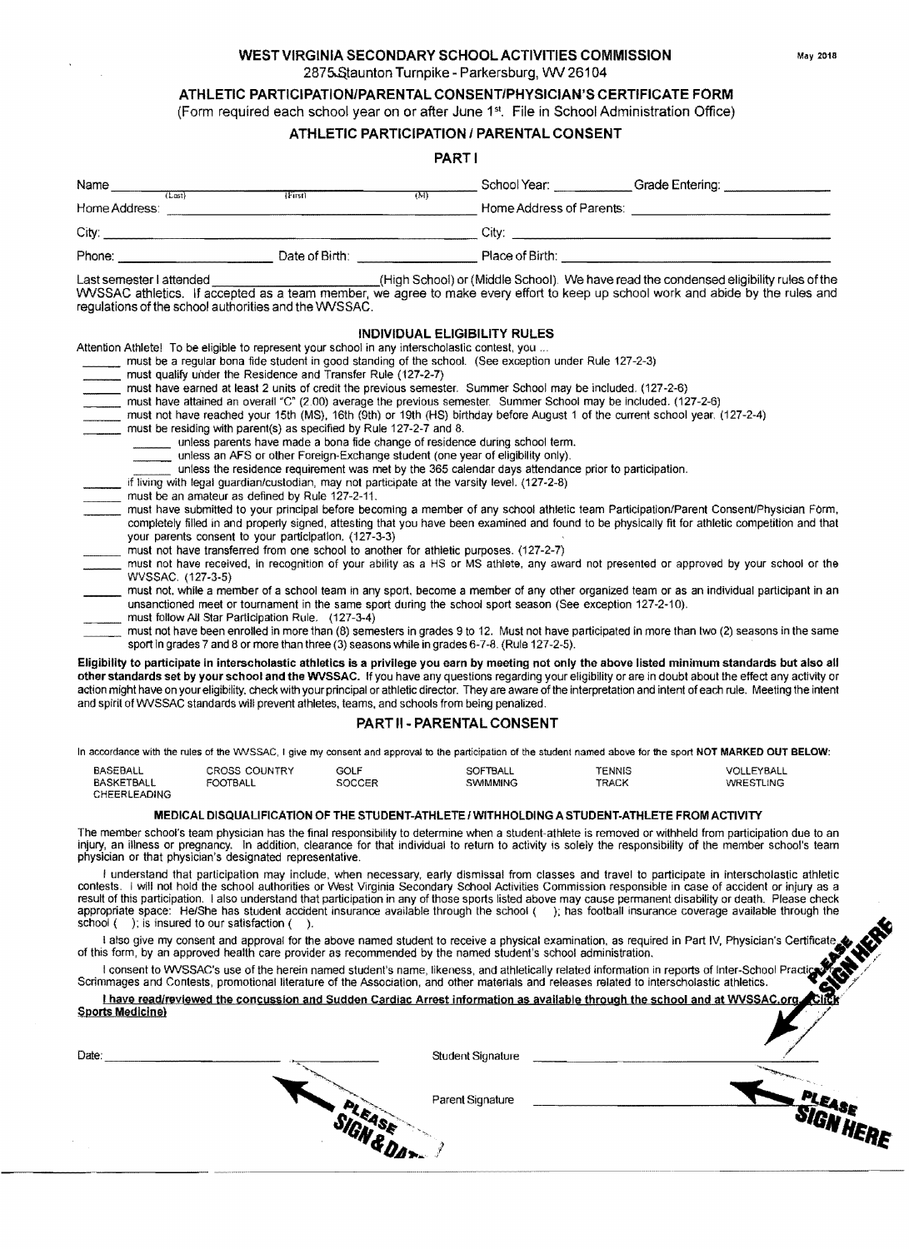## WEST VIRGINIA SECONDARY SCHOOL ACTIVITIES COMMISSION May 2018 2875 Staunton Turnpike - Parkersburg, VW 26104

## ATHLETIC PARTICIPATION/PARENTAL CONSENT/PHYSICIAN'S CERTIFICATE FORM

(Form required each school year on or after June 1st• File in School Administration Office)

# ATHLETIC PARTICIPATION / PARENTAL CONSENT

## PART I

|               | .              |                          |                 |
|---------------|----------------|--------------------------|-----------------|
| Name          |                | School Year:             | Grade Entering: |
| (Last)        | (M)<br>(First) |                          |                 |
| Home Address: |                | Home Address of Parents: |                 |
| City:         |                | Citv:                    |                 |
| Phone:        | Date of Birth: | Place of Birth:          |                 |

### Last semester I attended (High School) or (Middle School). We have read the condensed eligibility rules ofthe

VWSSAC athletics. If accepted as a team member, we agree to make every effort to keep up school work and abide by the rules and regulations of the school authorities and the WVSSAC.

## INDIVIDUAL ELIGIBILITY RULES

Attention Athlete! To be eligible to represent your school in any interscholastic contest, you ..

- must be a regular bona tide student in good standing of the school. (See exception under Rule 127-2-3)
- must qualify under the Residence and Transfer Rule (127-2-7)
- must dually under the residence and Translet Rule (127-2-7)<br>must have earned at least 2 units of credit the previous semester. Summer School may be included. (127-2-6)
- must have earlied at least 2 differs of clear the previous semester. Summer School may be included. (127-2-6)<br>must have attained an overall "C" (2.00) average the previous semester. Summer School may be included. (127-2-6)
- must have attained an overall "C" (2.00) average the previous semester. Summer School may be included. (127-2-6)<br>must not have reached your 15th (MS), 16th (9th) or 19th (HS) birthday before August 1 of the current school
- must be residing with parent(s) as specified by Rule 127-2-7 and 8.
	- unless parents have made a bona fide change of residence during school term.
	- unless an AFS or other Foreign-Exchange student (one year of eligibility only).
	- unless the residence requirement was met by the 365 calendar days attendance prior to participation.
	- if living with legal guardian/custodian, may not participate at the varsity level. (127-2-8)
- must be an amateur as defined by Rule 127-2-11.
- must be an analeur as defined by Rule 127-2-11.<br>must have submitted to your principal before becoming a member of any school athletic team Participation/Parent Consent/Physician Form. completely filled in and properly signed. attesting that you have been examined and found to be physically fit for athletic competition and that your parents consent to your participation. (127-3-3)
- must not have transferred from one school to another for athletic purposes. (127-2-7)
- must not have received, in recognition of your ability as a HS or MS athlete, any award not presented or approved by your school or the WVSSAC. (127-3-5)
- \_\_\_ must not. while a member of a school team in any sport. become a member of any other organized team or as an individual partiCipant in an unsanctioned meet or tournament in the same sport during the school sport season (See exception 127-2-10).
- must follow All Star Participation Rule, (127-3-4)

must not have been enrolled in more than (8) semesters in grades 9 to 12. Must not have participated in more than two (2) seasons in the same sport in grades 7 and 8 or more than three (3) seasons while in grades 6-7-8. (Rule 127-2-5).

Eligibility to participate in interscholastic athletics is a privilege you earn by meeting not only the above listed minimum standards but also all other standards set by your school and the WVSSAC. If you have any questions regarding your eligibility or are in doubt about the effect any activity or action might have on your eligibility. check with your principal or athletic director. They are aware of the interpretation and intent of each rule. Meeting the intent and spirit of WVSSAC standards will prevent athletes, teams, and schools from being penalized.

## PART II • PARENTAL CONSENT

In accordance with the rules of the WVSSAC, I give my consent and approval to the participation of the student named above for the sport NOT MARKED OUT BELOW:

| BASEBALL     | <b>CROSS COUNTRY</b> | GOLF   | SOFTBALL | TENNIS | VOLLEYBALL |
|--------------|----------------------|--------|----------|--------|------------|
| BASKETBALL   | FOOTBALL             | SOCCER | SWIMMING | TRACK  | WRESTLING  |
| CHEERLEADING |                      |        |          |        |            |

#### MEDICAL DISQUALI FICATION OF THE STUDENT-ATHLETE I WITHHOLDING A STUDENT-ATHLETE FROM ACTIVITY

The member school's team physician has the final responsibility to determine when a student-athlete is removed or withheld from participation due to an injury, an illness or pregnancy. In addition. clearance for that individual to return to activity is solely the responsibility of the member school's team physician or that physician's designated representative.

I understand that participation may include, when necessary, early dismissal from classes and travel to participate in interscholastic athletic contests. I will not hold the school authorities or West Virginia Secondary School Activities Commission responsible in case of accident or injury as a result of this participation. I also understand that participation in any of those sports listed above may cause permanent disability or death. Please check appropriate space: He/She has student accident insurance available through the school (); has football insurance coverage available through the school (); is insured to our satisfaction ().

school ( ); is insured to our satisfaction ( ).<br>I also give my consent and approval for the above named student to receive a physical examination, as required in Part IV, Physician's Certificate<br>of this form, by an approve

of this form, by an approved health care provider as recommended by the named student's school administration.<br>I consent to WVSSAC's use of the herein named student's name, likeness, and athletically related information in Scrimmages and Contests, promotional literature of the Association, and other materials and releases related to interscholastic athletics.

| I have read/reviewed the concussion and Sudden Cardiac Arrest information as available through the school and at WVSSAC.org. |  |  |
|------------------------------------------------------------------------------------------------------------------------------|--|--|
| <b>Sports Medicine)</b>                                                                                                      |  |  |

| Date: | Student Signature |    |
|-------|-------------------|----|
|       | Parent Signature  |    |
|       | <b>WAS TO </b>    | ŒΕ |